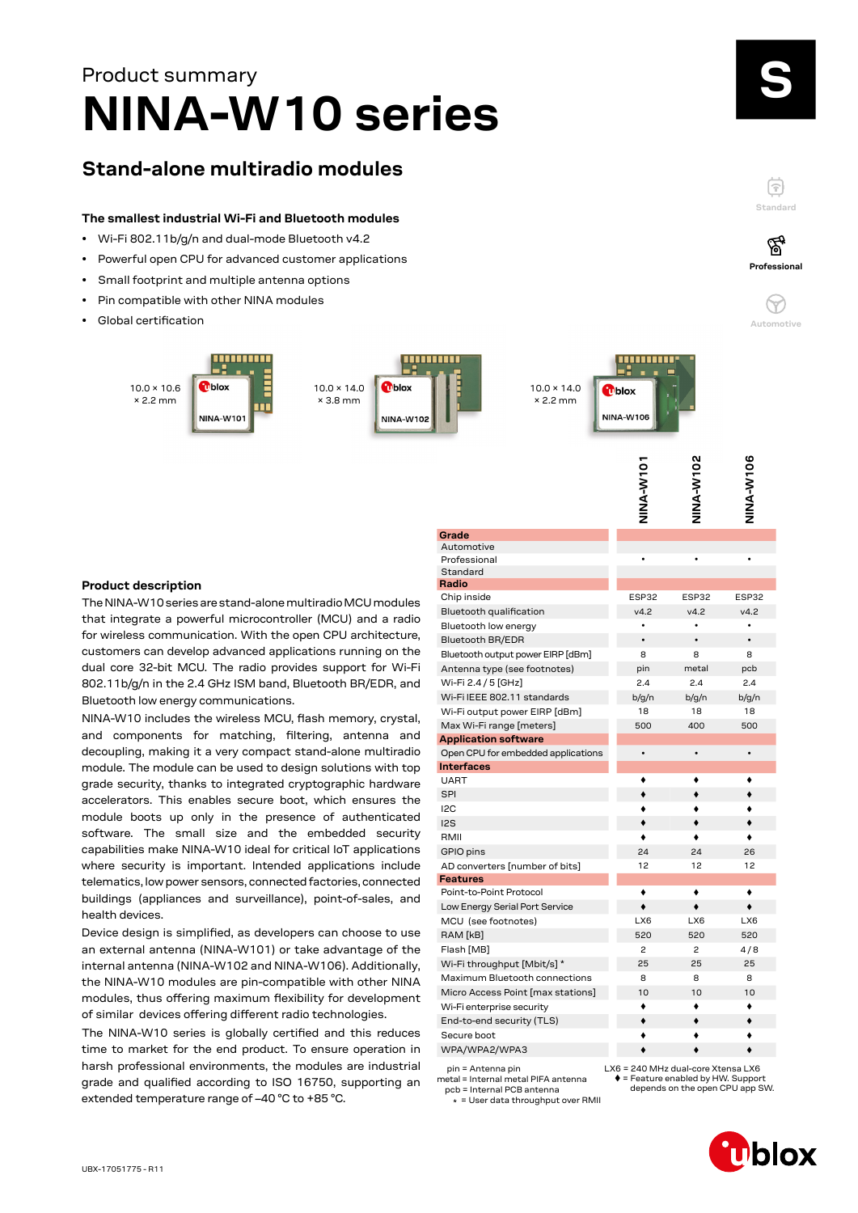# **NINA-W10 series** Product summary

## **Stand-alone multiradio modules**

#### **The smallest industrial Wi-Fi and Bluetooth modules**

- Wi-Fi 802.11b/g/n and dual-mode Bluetooth v4.2
- Powerful open CPU for advanced customer applications
- Small footprint and multiple antenna options
- Pin compatible with other NINA modules
- Global certification





V<sub>102</sub>

V<sub>106</sub>

#### **Product description**

The NINA-W10 series are stand-alone multiradio MCU modules that integrate a powerful microcontroller (MCU) and a radio for wireless communication. With the open CPU architecture, customers can develop advanced applications running on the dual core 32-bit MCU. The radio provides support for Wi-Fi 802.11b/g/n in the 2.4 GHz ISM band, Bluetooth BR/EDR, and Bluetooth low energy communications.

NINA-W10 includes the wireless MCU, flash memory, crystal, and components for matching, filtering, antenna and decoupling, making it a very compact stand-alone multiradio module. The module can be used to design solutions with top grade security, thanks to integrated cryptographic hardware accelerators. This enables secure boot, which ensures the module boots up only in the presence of authenticated software. The small size and the embedded security capabilities make NINA-W10 ideal for critical IoT applications where security is important. Intended applications include telematics, low power sensors, connected factories, connected buildings (appliances and surveillance), point-of-sales, and health devices.

Device design is simplified, as developers can choose to use an external antenna (NINA-W101) or take advantage of the internal antenna (NINA-W102 and NINA-W106). Additionally, the NINA-W10 modules are pin-compatible with other NINA modules, thus offering maximum flexibility for development of similar devices offering different radio technologies.

The NINA-W10 series is globally certified and this reduces time to market for the end product. To ensure operation in harsh professional environments, the modules are industrial grade and qualified according to ISO 16750, supporting an extended temperature range of –40 °C to +85 °C.

|                                                         | <b>DINA-VINT</b>                     | NINA-W102 | NINA-W106  |
|---------------------------------------------------------|--------------------------------------|-----------|------------|
| Grade                                                   |                                      |           |            |
| Automotive                                              |                                      |           |            |
| Professional                                            |                                      |           |            |
| Standard<br>Radio                                       |                                      |           |            |
| Chip inside                                             | ESP32                                | ESP32     | ESP32      |
| Bluetooth qualification                                 | v4.2                                 | v4.2      | v4.2       |
| Bluetooth low energy                                    |                                      | $\bullet$ | $\bullet$  |
| <b>Bluetooth BR/EDR</b>                                 |                                      | $\bullet$ | $\bullet$  |
| Bluetooth output power EIRP [dBm]                       | 8                                    | 8         | 8          |
| Antenna type (see footnotes)                            |                                      | metal     |            |
| Wi-Fi 2.4 / 5 [GHz]                                     | pin<br>2.4                           | 2.4       | pcb<br>2.4 |
| Wi-Fi IEEE 802.11 standards                             |                                      |           |            |
|                                                         | b/g/n                                | b/q/n     | b/g/n      |
| Wi-Fi output power EIRP [dBm]                           | 18                                   | 18        | 18         |
| Max Wi-Fi range [meters]                                | 500                                  | 400       | 500        |
| <b>Application software</b>                             | $\bullet$                            | $\bullet$ | $\bullet$  |
| Open CPU for embedded applications<br><b>Interfaces</b> |                                      |           |            |
| <b>UART</b>                                             |                                      |           |            |
| <b>SPI</b>                                              |                                      |           |            |
| I <sub>2</sub> C                                        |                                      |           |            |
| I <sub>2</sub> S                                        |                                      |           |            |
| RMII                                                    |                                      |           |            |
| GPIO pins                                               | 24                                   | 24        | 26         |
| AD converters [number of bits]                          | 12                                   | 12        | 12         |
| Features                                                |                                      |           |            |
| Point-to-Point Protocol                                 |                                      | ٠         |            |
| Low Energy Serial Port Service                          | $\bullet$                            | ٠         | ٠          |
| MCU (see footnotes)                                     | LX6                                  | LX6       | LX6        |
| RAM [kB]                                                | 520                                  | 520       | 520        |
| Flash [MB]                                              | 2                                    | 2         | 4/8        |
| Wi-Fi throughput [Mbit/s] *                             | 25                                   | 25        | 25         |
| Maximum Bluetooth connections                           | 8                                    | 8         | 8          |
| Micro Access Point [max stations]                       | 10                                   | 10        | 10         |
| Wi-Fi enterprise security                               |                                      | ٠         |            |
| End-to-end security (TLS)                               |                                      |           |            |
| Secure boot                                             |                                      |           |            |
| WPA/WPA2/WPA3                                           |                                      |           |            |
| $nin = Antenna nin$                                     | I X6 = 240 MHz dual-core Xtensa I X6 |           |            |

pin = Antenna pin metal = Internal metal PIFA antenna

 pcb = Internal PCB antenna \* = User data throughput over RMII

= Feature enabled by HW. Support depends on the open CPU app SW.



**Standard**

F

**Professional**

′ିବୁ

**Automotive**

 $\heartsuit$